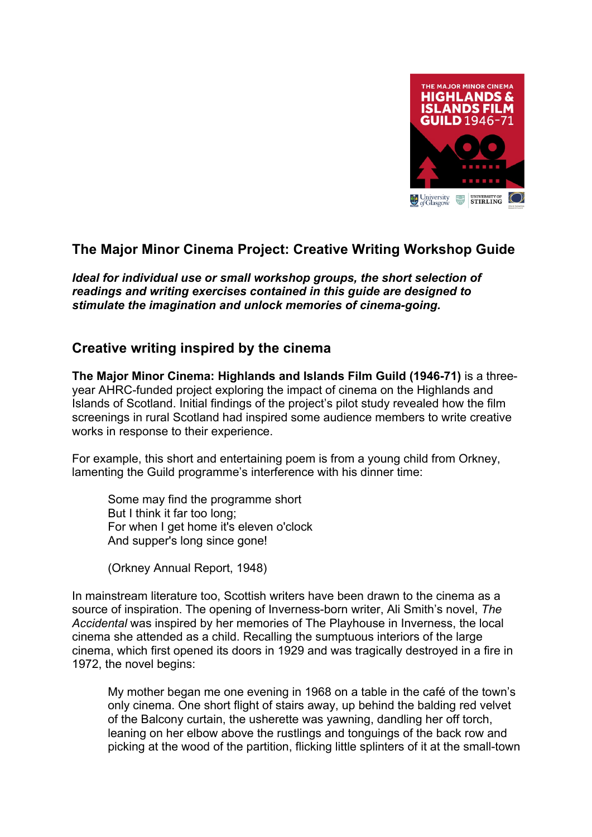

# **The Major Minor Cinema Project: Creative Writing Workshop Guide**

*Ideal for individual use or small workshop groups, the short selection of readings and writing exercises contained in this guide are designed to stimulate the imagination and unlock memories of cinema-going.*

## **Creative writing inspired by the cinema**

**The Major Minor Cinema: Highlands and Islands Film Guild (1946-71)** is a threeyear AHRC-funded project exploring the impact of cinema on the Highlands and Islands of Scotland. Initial findings of the project's pilot study revealed how the film screenings in rural Scotland had inspired some audience members to write creative works in response to their experience.

For example, this short and entertaining poem is from a young child from Orkney, lamenting the Guild programme's interference with his dinner time:

Some may find the programme short But I think it far too long; For when I get home it's eleven o'clock And supper's long since gone!

(Orkney Annual Report, 1948)

In mainstream literature too, Scottish writers have been drawn to the cinema as a source of inspiration. The opening of Inverness-born writer, Ali Smith's novel, *The Accidental* was inspired by her memories of The Playhouse in Inverness, the local cinema she attended as a child. Recalling the sumptuous interiors of the large cinema, which first opened its doors in 1929 and was tragically destroyed in a fire in 1972, the novel begins:

My mother began me one evening in 1968 on a table in the café of the town's only cinema. One short flight of stairs away, up behind the balding red velvet of the Balcony curtain, the usherette was yawning, dandling her off torch, leaning on her elbow above the rustlings and tonguings of the back row and picking at the wood of the partition, flicking little splinters of it at the small-town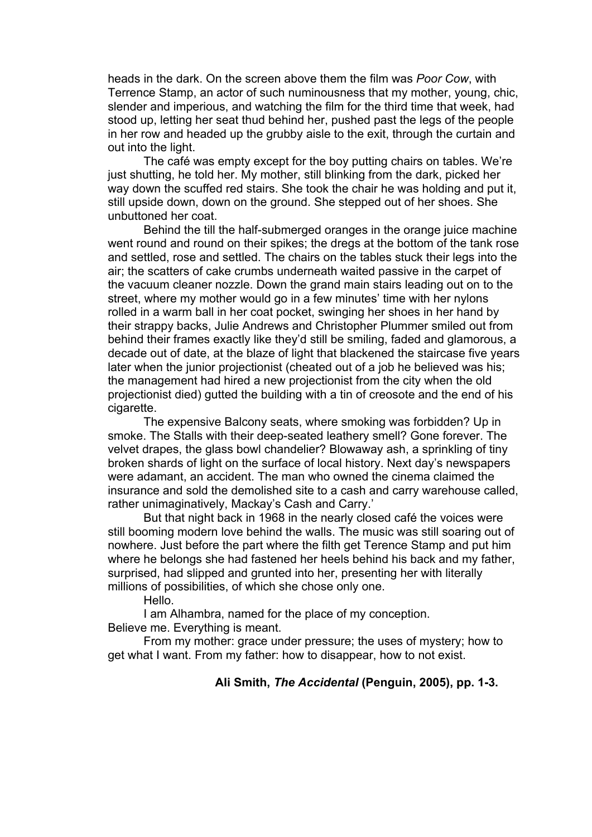heads in the dark. On the screen above them the film was *Poor Cow*, with Terrence Stamp, an actor of such numinousness that my mother, young, chic, slender and imperious, and watching the film for the third time that week, had stood up, letting her seat thud behind her, pushed past the legs of the people in her row and headed up the grubby aisle to the exit, through the curtain and out into the light.

The café was empty except for the boy putting chairs on tables. We're just shutting, he told her. My mother, still blinking from the dark, picked her way down the scuffed red stairs. She took the chair he was holding and put it, still upside down, down on the ground. She stepped out of her shoes. She unbuttoned her coat.

Behind the till the half-submerged oranges in the orange juice machine went round and round on their spikes; the dregs at the bottom of the tank rose and settled, rose and settled. The chairs on the tables stuck their legs into the air; the scatters of cake crumbs underneath waited passive in the carpet of the vacuum cleaner nozzle. Down the grand main stairs leading out on to the street, where my mother would go in a few minutes' time with her nylons rolled in a warm ball in her coat pocket, swinging her shoes in her hand by their strappy backs, Julie Andrews and Christopher Plummer smiled out from behind their frames exactly like they'd still be smiling, faded and glamorous, a decade out of date, at the blaze of light that blackened the staircase five years later when the junior projectionist (cheated out of a job he believed was his; the management had hired a new projectionist from the city when the old projectionist died) gutted the building with a tin of creosote and the end of his cigarette.

The expensive Balcony seats, where smoking was forbidden? Up in smoke. The Stalls with their deep-seated leathery smell? Gone forever. The velvet drapes, the glass bowl chandelier? Blowaway ash, a sprinkling of tiny broken shards of light on the surface of local history. Next day's newspapers were adamant, an accident. The man who owned the cinema claimed the insurance and sold the demolished site to a cash and carry warehouse called, rather unimaginatively, Mackay's Cash and Carry.'

But that night back in 1968 in the nearly closed café the voices were still booming modern love behind the walls. The music was still soaring out of nowhere. Just before the part where the filth get Terence Stamp and put him where he belongs she had fastened her heels behind his back and my father, surprised, had slipped and grunted into her, presenting her with literally millions of possibilities, of which she chose only one.

Hello.

I am Alhambra, named for the place of my conception. Believe me. Everything is meant.

From my mother: grace under pressure; the uses of mystery; how to get what I want. From my father: how to disappear, how to not exist.

**Ali Smith,** *The Accidental* **(Penguin, 2005), pp. 1-3.**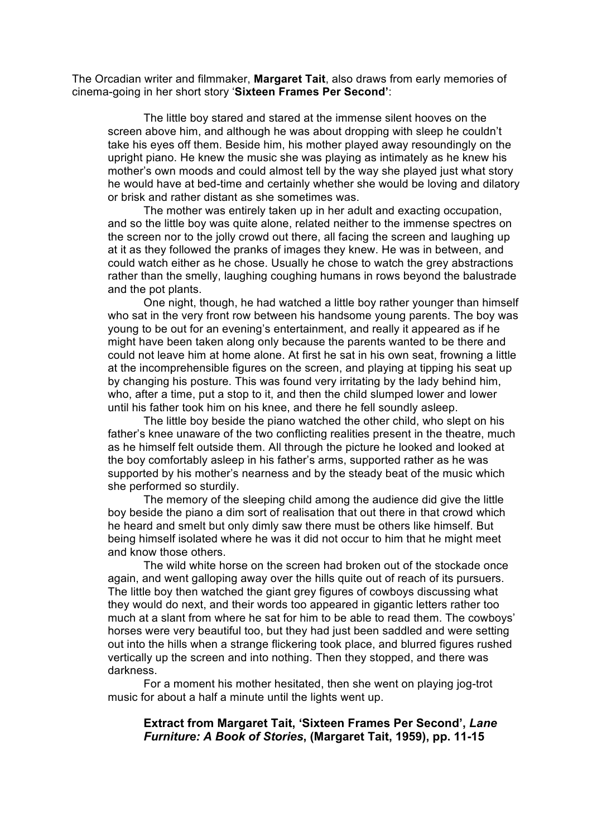The Orcadian writer and filmmaker, **Margaret Tait**, also draws from early memories of cinema-going in her short story '**Sixteen Frames Per Second'**:

The little boy stared and stared at the immense silent hooves on the screen above him, and although he was about dropping with sleep he couldn't take his eyes off them. Beside him, his mother played away resoundingly on the upright piano. He knew the music she was playing as intimately as he knew his mother's own moods and could almost tell by the way she played just what story he would have at bed-time and certainly whether she would be loving and dilatory or brisk and rather distant as she sometimes was.

The mother was entirely taken up in her adult and exacting occupation, and so the little boy was quite alone, related neither to the immense spectres on the screen nor to the jolly crowd out there, all facing the screen and laughing up at it as they followed the pranks of images they knew. He was in between, and could watch either as he chose. Usually he chose to watch the grey abstractions rather than the smelly, laughing coughing humans in rows beyond the balustrade and the pot plants.

One night, though, he had watched a little boy rather younger than himself who sat in the very front row between his handsome young parents. The boy was young to be out for an evening's entertainment, and really it appeared as if he might have been taken along only because the parents wanted to be there and could not leave him at home alone. At first he sat in his own seat, frowning a little at the incomprehensible figures on the screen, and playing at tipping his seat up by changing his posture. This was found very irritating by the lady behind him, who, after a time, put a stop to it, and then the child slumped lower and lower until his father took him on his knee, and there he fell soundly asleep.

The little boy beside the piano watched the other child, who slept on his father's knee unaware of the two conflicting realities present in the theatre, much as he himself felt outside them. All through the picture he looked and looked at the boy comfortably asleep in his father's arms, supported rather as he was supported by his mother's nearness and by the steady beat of the music which she performed so sturdily.

The memory of the sleeping child among the audience did give the little boy beside the piano a dim sort of realisation that out there in that crowd which he heard and smelt but only dimly saw there must be others like himself. But being himself isolated where he was it did not occur to him that he might meet and know those others.

The wild white horse on the screen had broken out of the stockade once again, and went galloping away over the hills quite out of reach of its pursuers. The little boy then watched the giant grey figures of cowboys discussing what they would do next, and their words too appeared in gigantic letters rather too much at a slant from where he sat for him to be able to read them. The cowboys' horses were very beautiful too, but they had just been saddled and were setting out into the hills when a strange flickering took place, and blurred figures rushed vertically up the screen and into nothing. Then they stopped, and there was darkness.

For a moment his mother hesitated, then she went on playing jog-trot music for about a half a minute until the lights went up.

#### **Extract from Margaret Tait, 'Sixteen Frames Per Second',** *Lane Furniture: A Book of Stories***, (Margaret Tait, 1959), pp. 11-15**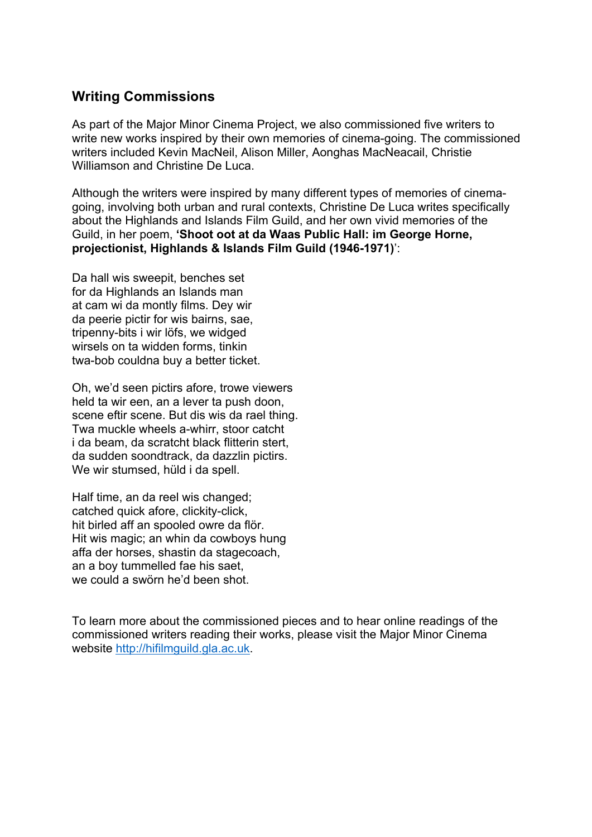## **Writing Commissions**

As part of the Major Minor Cinema Project, we also commissioned five writers to write new works inspired by their own memories of cinema-going. The commissioned writers included Kevin MacNeil, Alison Miller, Aonghas MacNeacail, Christie Williamson and Christine De Luca.

Although the writers were inspired by many different types of memories of cinemagoing, involving both urban and rural contexts, Christine De Luca writes specifically about the Highlands and Islands Film Guild, and her own vivid memories of the Guild, in her poem, **'Shoot oot at da Waas Public Hall: im George Horne, projectionist, Highlands & Islands Film Guild (1946-1971)**':

Da hall wis sweepit, benches set for da Highlands an Islands man at cam wi da montly films. Dey wir da peerie pictir for wis bairns, sae, tripenny-bits i wir löfs, we widged wirsels on ta widden forms, tinkin twa-bob couldna buy a better ticket.

Oh, we'd seen pictirs afore, trowe viewers held ta wir een, an a lever ta push doon, scene eftir scene. But dis wis da rael thing. Twa muckle wheels a-whirr, stoor catcht i da beam, da scratcht black flitterin stert, da sudden soondtrack, da dazzlin pictirs. We wir stumsed, hüld i da spell.

Half time, an da reel wis changed; catched quick afore, clickity-click, hit birled aff an spooled owre da flör. Hit wis magic; an whin da cowboys hung affa der horses, shastin da stagecoach, an a boy tummelled fae his saet, we could a swörn he'd been shot.

To learn more about the commissioned pieces and to hear online readings of the commissioned writers reading their works, please visit the Major Minor Cinema website http://hifilmguild.gla.ac.uk.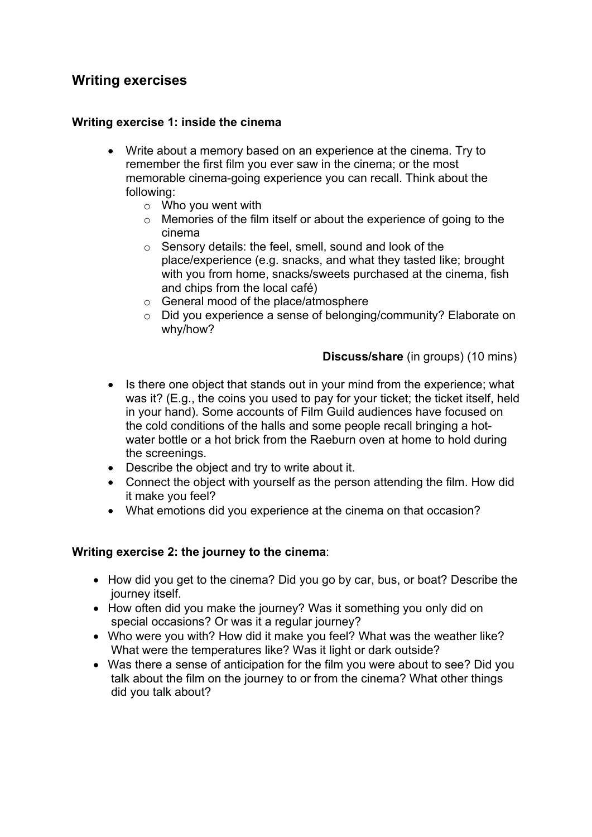## **Writing exercises**

#### **Writing exercise 1: inside the cinema**

- Write about a memory based on an experience at the cinema. Try to remember the first film you ever saw in the cinema; or the most memorable cinema-going experience you can recall. Think about the following:
	- $\circ$  Who you went with
	- o Memories of the film itself or about the experience of going to the cinema
	- o Sensory details: the feel, smell, sound and look of the place/experience (e.g. snacks, and what they tasted like; brought with you from home, snacks/sweets purchased at the cinema, fish and chips from the local café)
	- o General mood of the place/atmosphere
	- o Did you experience a sense of belonging/community? Elaborate on why/how?

### **Discuss/share** (in groups) (10 mins)

- Is there one object that stands out in your mind from the experience; what was it? (E.g., the coins you used to pay for your ticket; the ticket itself, held in your hand). Some accounts of Film Guild audiences have focused on the cold conditions of the halls and some people recall bringing a hotwater bottle or a hot brick from the Raeburn oven at home to hold during the screenings.
- Describe the object and try to write about it.
- Connect the object with yourself as the person attending the film. How did it make you feel?
- What emotions did you experience at the cinema on that occasion?

#### **Writing exercise 2: the journey to the cinema**:

- How did you get to the cinema? Did you go by car, bus, or boat? Describe the journey itself.
- How often did you make the journey? Was it something you only did on special occasions? Or was it a regular journey?
- Who were you with? How did it make you feel? What was the weather like? What were the temperatures like? Was it light or dark outside?
- Was there a sense of anticipation for the film you were about to see? Did you talk about the film on the journey to or from the cinema? What other things did you talk about?